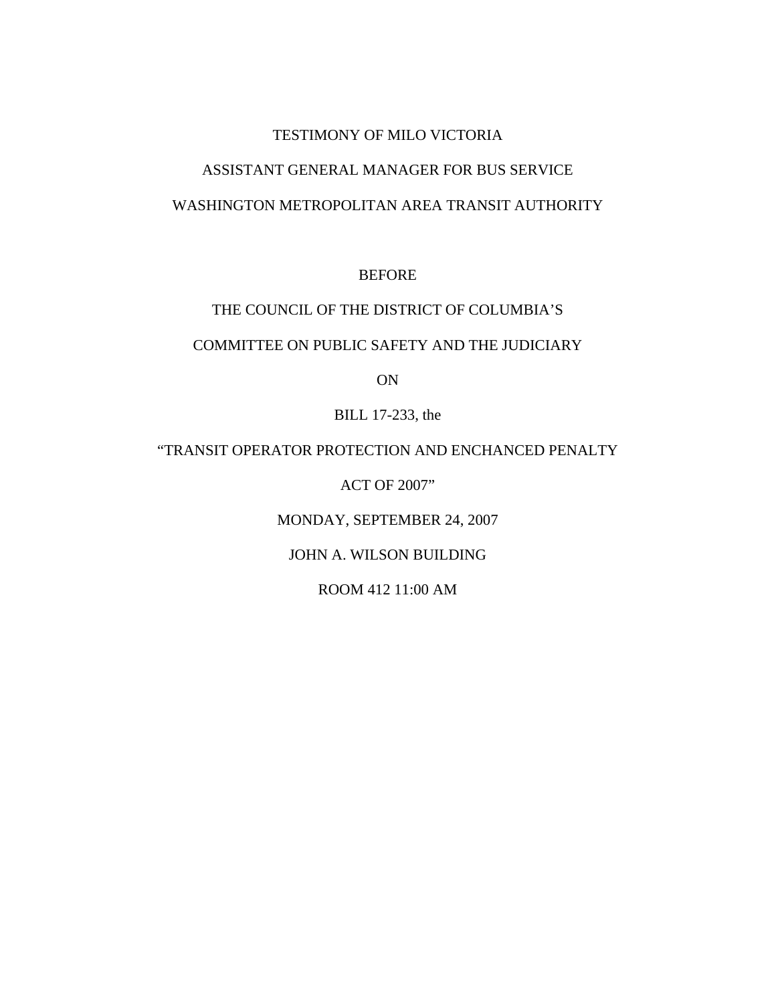### TESTIMONY OF MILO VICTORIA

# ASSISTANT GENERAL MANAGER FOR BUS SERVICE

# WASHINGTON METROPOLITAN AREA TRANSIT AUTHORITY

BEFORE

# THE COUNCIL OF THE DISTRICT OF COLUMBIA'S

# COMMITTEE ON PUBLIC SAFETY AND THE JUDICIARY

ON

BILL 17-233, the

### "TRANSIT OPERATOR PROTECTION AND ENCHANCED PENALTY

ACT OF 2007"

MONDAY, SEPTEMBER 24, 2007

### JOHN A. WILSON BUILDING

ROOM 412 11:00 AM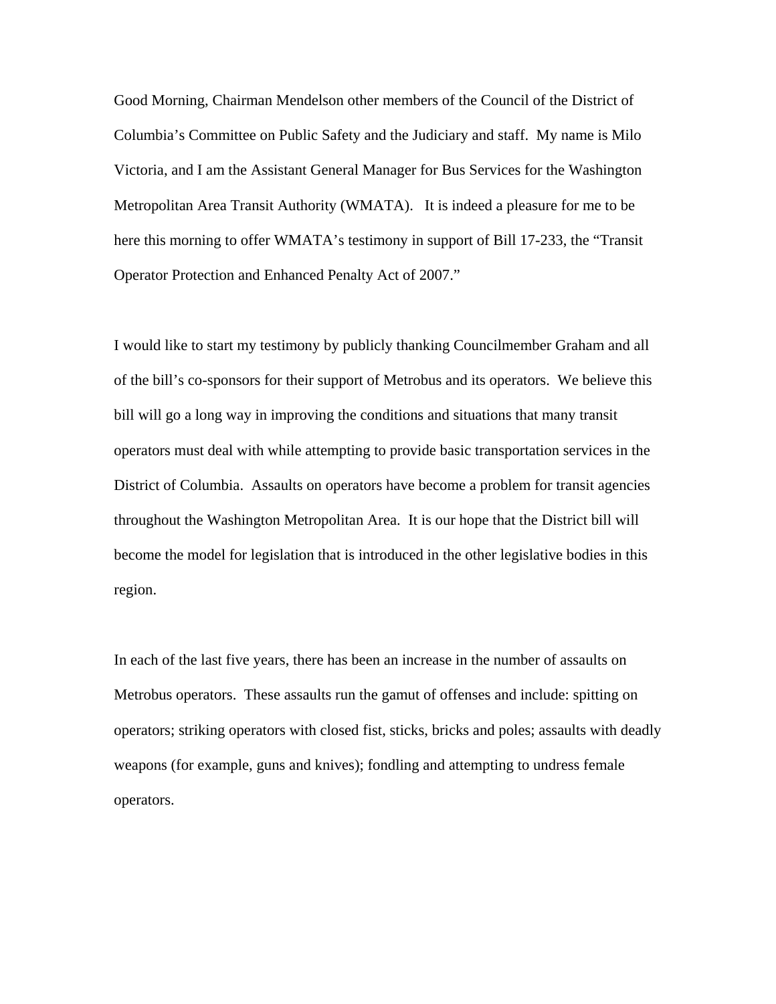Good Morning, Chairman Mendelson other members of the Council of the District of Columbia's Committee on Public Safety and the Judiciary and staff. My name is Milo Victoria, and I am the Assistant General Manager for Bus Services for the Washington Metropolitan Area Transit Authority (WMATA). It is indeed a pleasure for me to be here this morning to offer WMATA's testimony in support of Bill 17-233, the "Transit Operator Protection and Enhanced Penalty Act of 2007."

I would like to start my testimony by publicly thanking Councilmember Graham and all of the bill's co-sponsors for their support of Metrobus and its operators. We believe this bill will go a long way in improving the conditions and situations that many transit operators must deal with while attempting to provide basic transportation services in the District of Columbia. Assaults on operators have become a problem for transit agencies throughout the Washington Metropolitan Area. It is our hope that the District bill will become the model for legislation that is introduced in the other legislative bodies in this region.

In each of the last five years, there has been an increase in the number of assaults on Metrobus operators. These assaults run the gamut of offenses and include: spitting on operators; striking operators with closed fist, sticks, bricks and poles; assaults with deadly weapons (for example, guns and knives); fondling and attempting to undress female operators.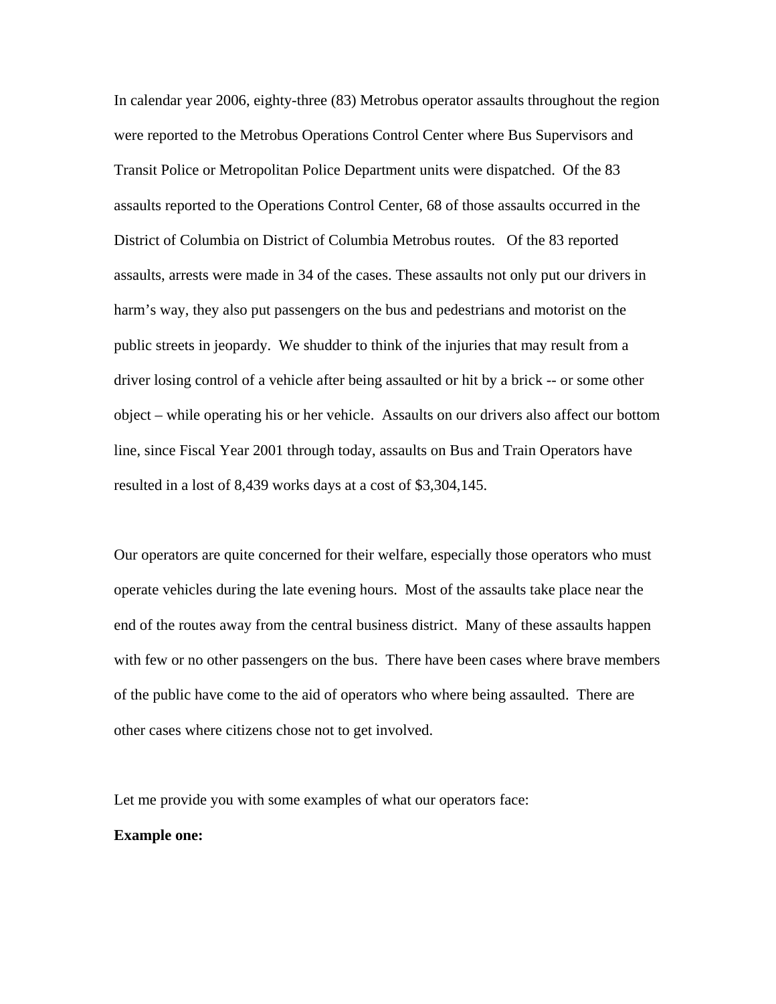In calendar year 2006, eighty-three (83) Metrobus operator assaults throughout the region were reported to the Metrobus Operations Control Center where Bus Supervisors and Transit Police or Metropolitan Police Department units were dispatched. Of the 83 assaults reported to the Operations Control Center, 68 of those assaults occurred in the District of Columbia on District of Columbia Metrobus routes. Of the 83 reported assaults, arrests were made in 34 of the cases. These assaults not only put our drivers in harm's way, they also put passengers on the bus and pedestrians and motorist on the public streets in jeopardy. We shudder to think of the injuries that may result from a driver losing control of a vehicle after being assaulted or hit by a brick -- or some other object – while operating his or her vehicle. Assaults on our drivers also affect our bottom line, since Fiscal Year 2001 through today, assaults on Bus and Train Operators have resulted in a lost of 8,439 works days at a cost of \$3,304,145.

Our operators are quite concerned for their welfare, especially those operators who must operate vehicles during the late evening hours. Most of the assaults take place near the end of the routes away from the central business district. Many of these assaults happen with few or no other passengers on the bus. There have been cases where brave members of the public have come to the aid of operators who where being assaulted. There are other cases where citizens chose not to get involved.

Let me provide you with some examples of what our operators face: **Example one:**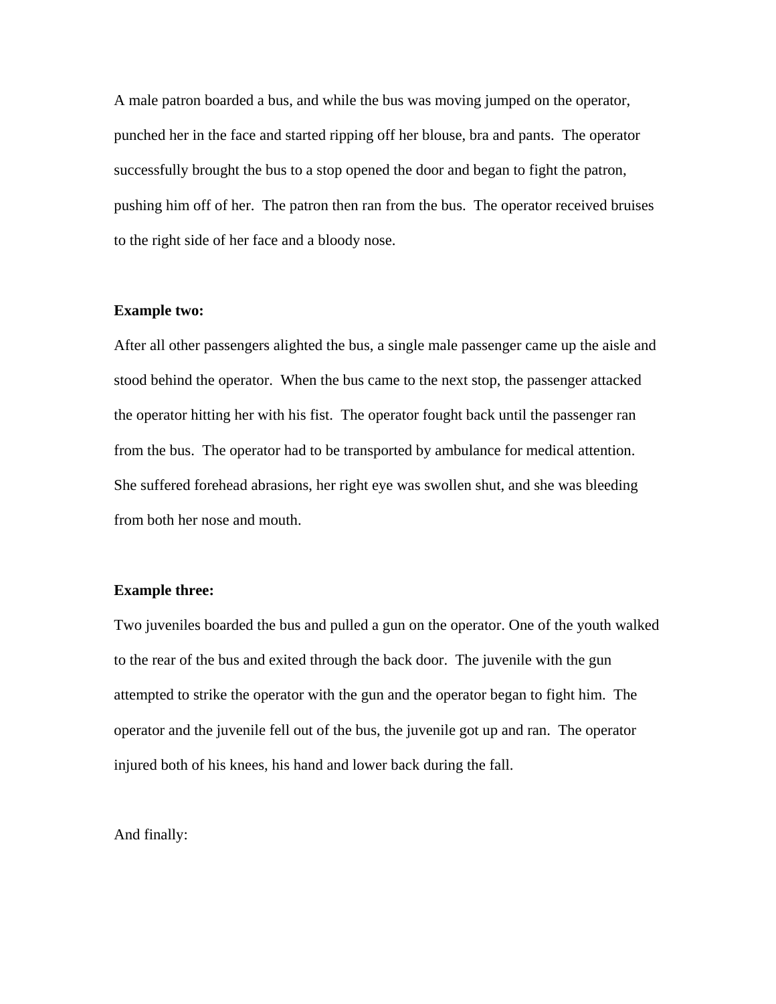A male patron boarded a bus, and while the bus was moving jumped on the operator, punched her in the face and started ripping off her blouse, bra and pants. The operator successfully brought the bus to a stop opened the door and began to fight the patron, pushing him off of her. The patron then ran from the bus. The operator received bruises to the right side of her face and a bloody nose.

#### **Example two:**

After all other passengers alighted the bus, a single male passenger came up the aisle and stood behind the operator. When the bus came to the next stop, the passenger attacked the operator hitting her with his fist. The operator fought back until the passenger ran from the bus. The operator had to be transported by ambulance for medical attention. She suffered forehead abrasions, her right eye was swollen shut, and she was bleeding from both her nose and mouth.

### **Example three:**

Two juveniles boarded the bus and pulled a gun on the operator. One of the youth walked to the rear of the bus and exited through the back door. The juvenile with the gun attempted to strike the operator with the gun and the operator began to fight him. The operator and the juvenile fell out of the bus, the juvenile got up and ran. The operator injured both of his knees, his hand and lower back during the fall.

And finally: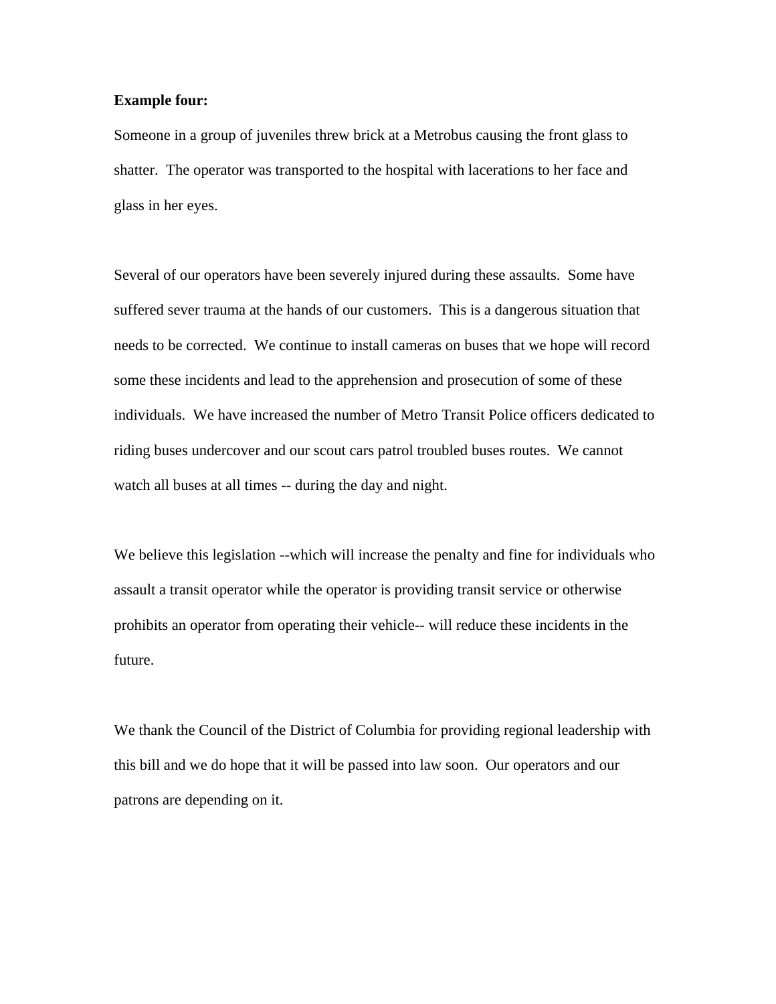#### **Example four:**

Someone in a group of juveniles threw brick at a Metrobus causing the front glass to shatter. The operator was transported to the hospital with lacerations to her face and glass in her eyes.

Several of our operators have been severely injured during these assaults. Some have suffered sever trauma at the hands of our customers. This is a dangerous situation that needs to be corrected. We continue to install cameras on buses that we hope will record some these incidents and lead to the apprehension and prosecution of some of these individuals. We have increased the number of Metro Transit Police officers dedicated to riding buses undercover and our scout cars patrol troubled buses routes. We cannot watch all buses at all times -- during the day and night.

We believe this legislation --which will increase the penalty and fine for individuals who assault a transit operator while the operator is providing transit service or otherwise prohibits an operator from operating their vehicle-- will reduce these incidents in the future.

We thank the Council of the District of Columbia for providing regional leadership with this bill and we do hope that it will be passed into law soon. Our operators and our patrons are depending on it.